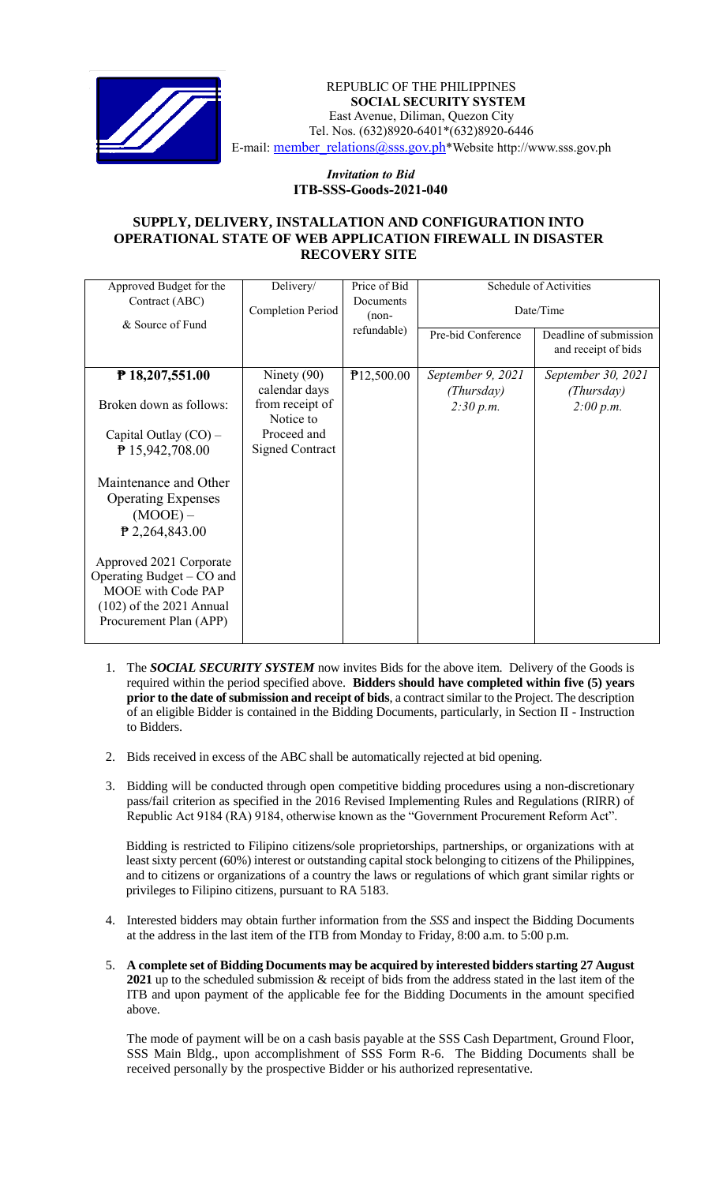

 *Invitation to Bid* REPUBLIC OF THE PHILIPPINES **SOCIAL SECURITY SYSTEM** East Avenue, Diliman, Quezon City Tel. Nos. (632)8920-6401\*(632)8920-6446 E-mail: [member\\_relations@sss.gov.ph](mailto:member_relations@sss.gov.ph)\*Website http://www.sss.gov.ph

### *Invitation to Bid*  **ITB-SSS-Goods-2021-040**

### **SUPPLY, DELIVERY, INSTALLATION AND CONFIGURATION INTO OPERATIONAL STATE OF WEB APPLICATION FIREWALL IN DISASTER RECOVERY SITE**

| Approved Budget for the                            | Delivery/                    | Price of Bid | Schedule of Activities |                                               |
|----------------------------------------------------|------------------------------|--------------|------------------------|-----------------------------------------------|
| Contract (ABC)<br>& Source of Fund                 | Completion Period<br>$(non-$ | Documents    | Date/Time              |                                               |
|                                                    |                              | refundable)  | Pre-bid Conference     | Deadline of submission<br>and receipt of bids |
| $P$ 18,207,551.00                                  | Ninety $(90)$                | P12,500.00   | September 9, 2021      | September 30, 2021                            |
|                                                    | calendar days                |              | (Thursday)             | (Thursday)                                    |
| Broken down as follows:                            | from receipt of              |              | 2:30 p.m.              | 2:00 p.m.                                     |
|                                                    | Notice to                    |              |                        |                                               |
| Capital Outlay $(CO)$ –                            | Proceed and                  |              |                        |                                               |
| ₱ 15,942,708.00                                    | <b>Signed Contract</b>       |              |                        |                                               |
| Maintenance and Other<br><b>Operating Expenses</b> |                              |              |                        |                                               |
| $(MOOE)$ –                                         |                              |              |                        |                                               |
| ₱ 2,264,843.00                                     |                              |              |                        |                                               |
|                                                    |                              |              |                        |                                               |
| Approved 2021 Corporate                            |                              |              |                        |                                               |
| Operating Budget – CO and                          |                              |              |                        |                                               |
| <b>MOOE</b> with Code PAP                          |                              |              |                        |                                               |
| $(102)$ of the 2021 Annual                         |                              |              |                        |                                               |
| Procurement Plan (APP)                             |                              |              |                        |                                               |
|                                                    |                              |              |                        |                                               |

- 1. The *SOCIAL SECURITY SYSTEM* now invites Bids for the above item. Delivery of the Goods is required within the period specified above. **Bidders should have completed within five (5) years prior to the date of submission and receipt of bids**, a contract similar to the Project. The description of an eligible Bidder is contained in the Bidding Documents, particularly, in Section II - Instruction to Bidders.
- 2. Bids received in excess of the ABC shall be automatically rejected at bid opening.
- 3. Bidding will be conducted through open competitive bidding procedures using a non-discretionary pass/fail criterion as specified in the 2016 Revised Implementing Rules and Regulations (RIRR) of Republic Act 9184 (RA) 9184, otherwise known as the "Government Procurement Reform Act".

Bidding is restricted to Filipino citizens/sole proprietorships, partnerships, or organizations with at least sixty percent (60%) interest or outstanding capital stock belonging to citizens of the Philippines, and to citizens or organizations of a country the laws or regulations of which grant similar rights or privileges to Filipino citizens, pursuant to RA 5183.

- 4. Interested bidders may obtain further information from the *SSS* and inspect the Bidding Documents at the address in the last item of the ITB from Monday to Friday, 8:00 a.m. to 5:00 p.m.
- 5. **A complete set of Bidding Documents may be acquired by interested bidders starting 27 August 2021** up to the scheduled submission & receipt of bids from the address stated in the last item of the ITB and upon payment of the applicable fee for the Bidding Documents in the amount specified above.

The mode of payment will be on a cash basis payable at the SSS Cash Department, Ground Floor, SSS Main Bldg., upon accomplishment of SSS Form R-6. The Bidding Documents shall be received personally by the prospective Bidder or his authorized representative.